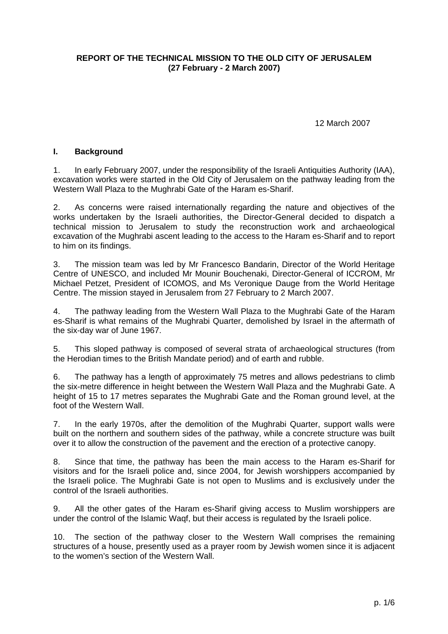### **REPORT OF THE TECHNICAL MISSION TO THE OLD CITY OF JERUSALEM (27 February - 2 March 2007)**

12 March 2007

#### **I. Background**

1. In early February 2007, under the responsibility of the Israeli Antiquities Authority (IAA), excavation works were started in the Old City of Jerusalem on the pathway leading from the Western Wall Plaza to the Mughrabi Gate of the Haram es-Sharif.

2. As concerns were raised internationally regarding the nature and objectives of the works undertaken by the Israeli authorities, the Director-General decided to dispatch a technical mission to Jerusalem to study the reconstruction work and archaeological excavation of the Mughrabi ascent leading to the access to the Haram es-Sharif and to report to him on its findings.

3. The mission team was led by Mr Francesco Bandarin, Director of the World Heritage Centre of UNESCO, and included Mr Mounir Bouchenaki, Director-General of ICCROM, Mr Michael Petzet, President of ICOMOS, and Ms Veronique Dauge from the World Heritage Centre. The mission stayed in Jerusalem from 27 February to 2 March 2007.

4. The pathway leading from the Western Wall Plaza to the Mughrabi Gate of the Haram es-Sharif is what remains of the Mughrabi Quarter, demolished by Israel in the aftermath of the six-day war of June 1967.

5. This sloped pathway is composed of several strata of archaeological structures (from the Herodian times to the British Mandate period) and of earth and rubble.

6. The pathway has a length of approximately 75 metres and allows pedestrians to climb the six-metre difference in height between the Western Wall Plaza and the Mughrabi Gate. A height of 15 to 17 metres separates the Mughrabi Gate and the Roman ground level, at the foot of the Western Wall.

7. In the early 1970s, after the demolition of the Mughrabi Quarter, support walls were built on the northern and southern sides of the pathway, while a concrete structure was built over it to allow the construction of the pavement and the erection of a protective canopy.

8. Since that time, the pathway has been the main access to the Haram es-Sharif for visitors and for the Israeli police and, since 2004, for Jewish worshippers accompanied by the Israeli police. The Mughrabi Gate is not open to Muslims and is exclusively under the control of the Israeli authorities.

9. All the other gates of the Haram es-Sharif giving access to Muslim worshippers are under the control of the Islamic Waqf, but their access is regulated by the Israeli police.

10. The section of the pathway closer to the Western Wall comprises the remaining structures of a house, presently used as a prayer room by Jewish women since it is adjacent to the women's section of the Western Wall.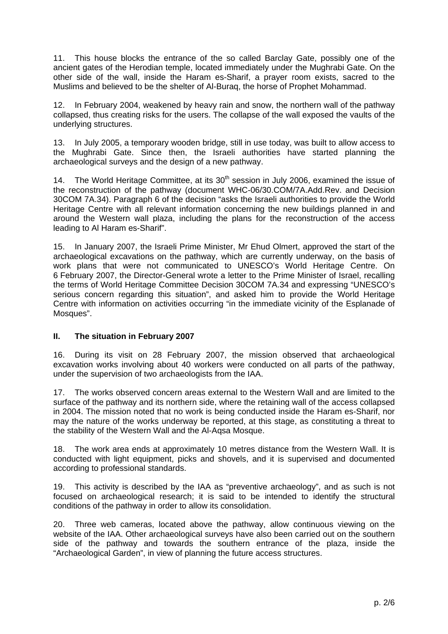11. This house blocks the entrance of the so called Barclay Gate, possibly one of the ancient gates of the Herodian temple, located immediately under the Mughrabi Gate. On the other side of the wall, inside the Haram es-Sharif, a prayer room exists, sacred to the Muslims and believed to be the shelter of Al-Buraq, the horse of Prophet Mohammad.

12. In February 2004, weakened by heavy rain and snow, the northern wall of the pathway collapsed, thus creating risks for the users. The collapse of the wall exposed the vaults of the underlying structures.

13. In July 2005, a temporary wooden bridge, still in use today, was built to allow access to the Mughrabi Gate. Since then, the Israeli authorities have started planning the archaeological surveys and the design of a new pathway.

14. The World Heritage Committee, at its  $30<sup>th</sup>$  session in July 2006, examined the issue of the reconstruction of the pathway (document WHC-06/30.COM/7A.Add.Rev. and Decision 30COM 7A.34). Paragraph 6 of the decision "asks the Israeli authorities to provide the World Heritage Centre with all relevant information concerning the new buildings planned in and around the Western wall plaza, including the plans for the reconstruction of the access leading to Al Haram es-Sharif".

15. In January 2007, the Israeli Prime Minister, Mr Ehud Olmert, approved the start of the archaeological excavations on the pathway, which are currently underway, on the basis of work plans that were not communicated to UNESCO's World Heritage Centre. On 6 February 2007, the Director-General wrote a letter to the Prime Minister of Israel, recalling the terms of World Heritage Committee Decision 30COM 7A.34 and expressing "UNESCO's serious concern regarding this situation", and asked him to provide the World Heritage Centre with information on activities occurring "in the immediate vicinity of the Esplanade of Mosques".

# **II. The situation in February 2007**

16. During its visit on 28 February 2007, the mission observed that archaeological excavation works involving about 40 workers were conducted on all parts of the pathway, under the supervision of two archaeologists from the IAA.

17. The works observed concern areas external to the Western Wall and are limited to the surface of the pathway and its northern side, where the retaining wall of the access collapsed in 2004. The mission noted that no work is being conducted inside the Haram es-Sharif, nor may the nature of the works underway be reported, at this stage, as constituting a threat to the stability of the Western Wall and the Al-Aqsa Mosque.

18. The work area ends at approximately 10 metres distance from the Western Wall. It is conducted with light equipment, picks and shovels, and it is supervised and documented according to professional standards.

19. This activity is described by the IAA as "preventive archaeology", and as such is not focused on archaeological research; it is said to be intended to identify the structural conditions of the pathway in order to allow its consolidation.

20. Three web cameras, located above the pathway, allow continuous viewing on the website of the IAA. Other archaeological surveys have also been carried out on the southern side of the pathway and towards the southern entrance of the plaza, inside the "Archaeological Garden", in view of planning the future access structures.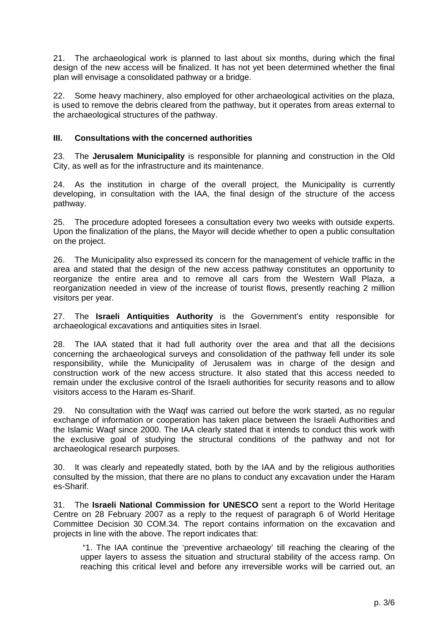21. The archaeological work is planned to last about six months, during which the final design of the new access will be finalized. It has not yet been determined whether the final plan will envisage a consolidated pathway or a bridge.

22. Some heavy machinery, also employed for other archaeological activities on the plaza, is used to remove the debris cleared from the pathway, but it operates from areas external to the archaeological structures of the pathway.

## **III. Consultations with the concerned authorities**

23. The **Jerusalem Municipality** is responsible for planning and construction in the Old City, as well as for the infrastructure and its maintenance.

24. As the institution in charge of the overall project, the Municipality is currently developing, in consultation with the IAA, the final design of the structure of the access pathway.

25. The procedure adopted foresees a consultation every two weeks with outside experts. Upon the finalization of the plans, the Mayor will decide whether to open a public consultation on the project.

26. The Municipality also expressed its concern for the management of vehicle traffic in the area and stated that the design of the new access pathway constitutes an opportunity to reorganize the entire area and to remove all cars from the Western Wall Plaza, a reorganization needed in view of the increase of tourist flows, presently reaching 2 million visitors per year.

27. The **Israeli Antiquities Authority** is the Government's entity responsible for archaeological excavations and antiquities sites in Israel.

28. The IAA stated that it had full authority over the area and that all the decisions concerning the archaeological surveys and consolidation of the pathway fell under its sole responsibility, while the Municipality of Jerusalem was in charge of the design and construction work of the new access structure. It also stated that this access needed to remain under the exclusive control of the Israeli authorities for security reasons and to allow visitors access to the Haram es-Sharif.

29. No consultation with the Waqf was carried out before the work started, as no regular exchange of information or cooperation has taken place between the Israeli Authorities and the Islamic Waqf since 2000. The IAA clearly stated that it intends to conduct this work with the exclusive goal of studying the structural conditions of the pathway and not for archaeological research purposes.

30. It was clearly and repeatedly stated, both by the IAA and by the religious authorities consulted by the mission, that there are no plans to conduct any excavation under the Haram es-Sharif.

31. The **Israeli National Commission for UNESCO** sent a report to the World Heritage Centre on 28 February 2007 as a reply to the request of paragraph 6 of World Heritage Committee Decision 30 COM.34. The report contains information on the excavation and projects in line with the above. The report indicates that:

 "1. The IAA continue the 'preventive archaeology' till reaching the clearing of the upper layers to assess the situation and structural stability of the access ramp. On reaching this critical level and before any irreversible works will be carried out, an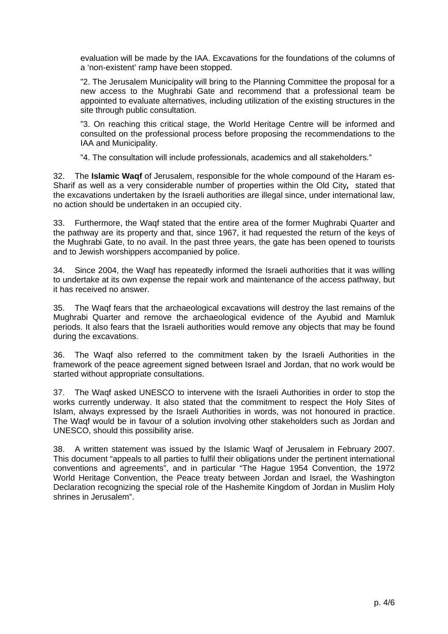evaluation will be made by the IAA. Excavations for the foundations of the columns of a 'non-existent' ramp have been stopped.

"2. The Jerusalem Municipality will bring to the Planning Committee the proposal for a new access to the Mughrabi Gate and recommend that a professional team be appointed to evaluate alternatives, including utilization of the existing structures in the site through public consultation.

"3. On reaching this critical stage, the World Heritage Centre will be informed and consulted on the professional process before proposing the recommendations to the IAA and Municipality.

"4. The consultation will include professionals, academics and all stakeholders."

32. The **Islamic Waqf** of Jerusalem, responsible for the whole compound of the Haram es-Sharif as well as a very considerable number of properties within the Old City*,* stated that the excavations undertaken by the Israeli authorities are illegal since, under international law, no action should be undertaken in an occupied city.

33. Furthermore, the Waqf stated that the entire area of the former Mughrabi Quarter and the pathway are its property and that, since 1967, it had requested the return of the keys of the Mughrabi Gate, to no avail. In the past three years, the gate has been opened to tourists and to Jewish worshippers accompanied by police.

34. Since 2004, the Waqf has repeatedly informed the Israeli authorities that it was willing to undertake at its own expense the repair work and maintenance of the access pathway, but it has received no answer.

35. The Waqf fears that the archaeological excavations will destroy the last remains of the Mughrabi Quarter and remove the archaeological evidence of the Ayubid and Mamluk periods. It also fears that the Israeli authorities would remove any objects that may be found during the excavations.

36. The Waqf also referred to the commitment taken by the Israeli Authorities in the framework of the peace agreement signed between Israel and Jordan, that no work would be started without appropriate consultations.

37. The Waqf asked UNESCO to intervene with the Israeli Authorities in order to stop the works currently underway. It also stated that the commitment to respect the Holy Sites of Islam, always expressed by the Israeli Authorities in words, was not honoured in practice. The Waqf would be in favour of a solution involving other stakeholders such as Jordan and UNESCO, should this possibility arise.

38. A written statement was issued by the Islamic Waqf of Jerusalem in February 2007. This document "appeals to all parties to fulfil their obligations under the pertinent international conventions and agreements", and in particular "The Hague 1954 Convention, the 1972 World Heritage Convention, the Peace treaty between Jordan and Israel, the Washington Declaration recognizing the special role of the Hashemite Kingdom of Jordan in Muslim Holy shrines in Jerusalem".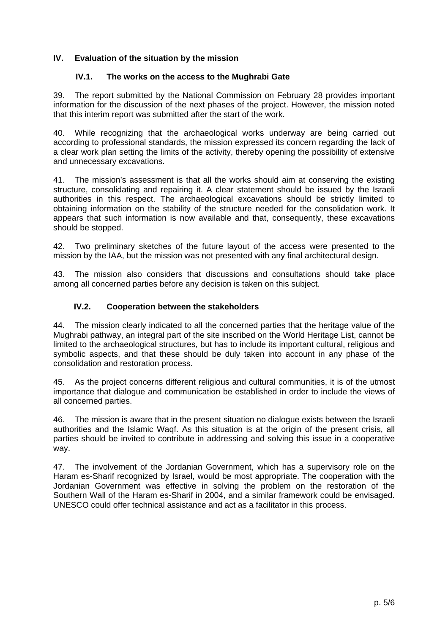# **IV. Evaluation of the situation by the mission**

### **IV.1. The works on the access to the Mughrabi Gate**

39. The report submitted by the National Commission on February 28 provides important information for the discussion of the next phases of the project. However, the mission noted that this interim report was submitted after the start of the work.

40. While recognizing that the archaeological works underway are being carried out according to professional standards, the mission expressed its concern regarding the lack of a clear work plan setting the limits of the activity, thereby opening the possibility of extensive and unnecessary excavations.

41. The mission's assessment is that all the works should aim at conserving the existing structure, consolidating and repairing it. A clear statement should be issued by the Israeli authorities in this respect. The archaeological excavations should be strictly limited to obtaining information on the stability of the structure needed for the consolidation work. It appears that such information is now available and that, consequently, these excavations should be stopped.

42. Two preliminary sketches of the future layout of the access were presented to the mission by the IAA, but the mission was not presented with any final architectural design.

43. The mission also considers that discussions and consultations should take place among all concerned parties before any decision is taken on this subject.

### **IV.2. Cooperation between the stakeholders**

44. The mission clearly indicated to all the concerned parties that the heritage value of the Mughrabi pathway, an integral part of the site inscribed on the World Heritage List, cannot be limited to the archaeological structures, but has to include its important cultural, religious and symbolic aspects, and that these should be duly taken into account in any phase of the consolidation and restoration process.

45. As the project concerns different religious and cultural communities, it is of the utmost importance that dialogue and communication be established in order to include the views of all concerned parties.

46. The mission is aware that in the present situation no dialogue exists between the Israeli authorities and the Islamic Waqf. As this situation is at the origin of the present crisis, all parties should be invited to contribute in addressing and solving this issue in a cooperative way.

47. The involvement of the Jordanian Government, which has a supervisory role on the Haram es-Sharif recognized by Israel, would be most appropriate. The cooperation with the Jordanian Government was effective in solving the problem on the restoration of the Southern Wall of the Haram es-Sharif in 2004, and a similar framework could be envisaged. UNESCO could offer technical assistance and act as a facilitator in this process.